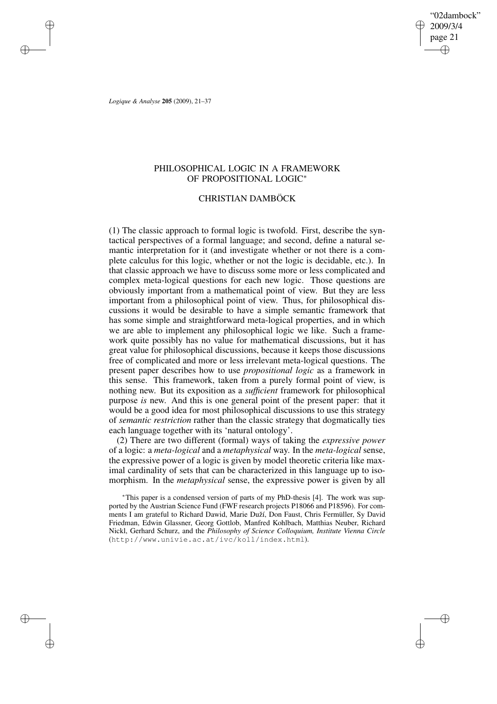"02dambock" 2009/3/4 page 21 ✐ ✐

✐

✐

*Logique & Analyse* **205** (2009), 21–37

✐

✐

✐

✐

# PHILOSOPHICAL LOGIC IN A FRAMEWORK OF PROPOSITIONAL LOGIC<sup>∗</sup>

# CHRISTIAN DAMBÖCK

(1) The classic approach to formal logic is twofold. First, describe the syntactical perspectives of a formal language; and second, define a natural semantic interpretation for it (and investigate whether or not there is a complete calculus for this logic, whether or not the logic is decidable, etc.). In that classic approach we have to discuss some more or less complicated and complex meta-logical questions for each new logic. Those questions are obviously important from a mathematical point of view. But they are less important from a philosophical point of view. Thus, for philosophical discussions it would be desirable to have a simple semantic framework that has some simple and straightforward meta-logical properties, and in which we are able to implement any philosophical logic we like. Such a framework quite possibly has no value for mathematical discussions, but it has great value for philosophical discussions, because it keeps those discussions free of complicated and more or less irrelevant meta-logical questions. The present paper describes how to use *propositional logic* as a framework in this sense. This framework, taken from a purely formal point of view, is nothing new. But its exposition as a *sufficient* framework for philosophical purpose *is* new. And this is one general point of the present paper: that it would be a good idea for most philosophical discussions to use this strategy of *semantic restriction* rather than the classic strategy that dogmatically ties each language together with its 'natural ontology'.

(2) There are two different (formal) ways of taking the *expressive power* of a logic: a *meta-logical* and a *metaphysical* way. In the *meta-logical* sense, the expressive power of a logic is given by model theoretic criteria like maximal cardinality of sets that can be characterized in this language up to isomorphism. In the *metaphysical* sense, the expressive power is given by all

<sup>∗</sup>This paper is a condensed version of parts of my PhD-thesis [4]. The work was supported by the Austrian Science Fund (FWF research projects P18066 and P18596). For comments I am grateful to Richard Dawid, Marie Duží, Don Faust, Chris Fermüller, Sy David Friedman, Edwin Glassner, Georg Gottlob, Manfred Kohlbach, Matthias Neuber, Richard Nickl, Gerhard Schurz, and the *Philosophy of Science Colloquium, Institute Vienna Circle* (http://www.univie.ac.at/ivc/koll/index.html).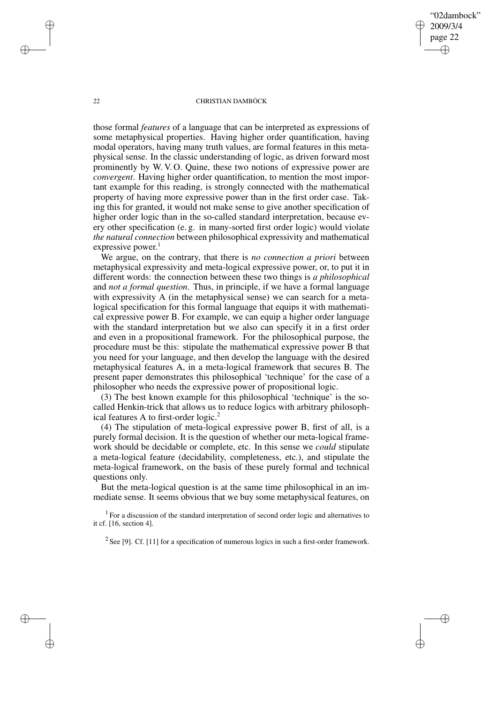"02dambock" 2009/3/4 page 22 ✐ ✐

✐

✐

### 22 CHRISTIAN DAMBÖCK

those formal *features* of a language that can be interpreted as expressions of some metaphysical properties. Having higher order quantification, having modal operators, having many truth values, are formal features in this metaphysical sense. In the classic understanding of logic, as driven forward most prominently by W. V. O. Quine, these two notions of expressive power are *convergent*. Having higher order quantification, to mention the most important example for this reading, is strongly connected with the mathematical property of having more expressive power than in the first order case. Taking this for granted, it would not make sense to give another specification of higher order logic than in the so-called standard interpretation, because every other specification (e. g. in many-sorted first order logic) would violate *the natural connection* between philosophical expressivity and mathematical expressive power.<sup>1</sup>

We argue, on the contrary, that there is *no connection a priori* between metaphysical expressivity and meta-logical expressive power, or, to put it in different words: the connection between these two things is *a philosophical* and *not a formal question*. Thus, in principle, if we have a formal language with expressivity A (in the metaphysical sense) we can search for a metalogical specification for this formal language that equips it with mathematical expressive power B. For example, we can equip a higher order language with the standard interpretation but we also can specify it in a first order and even in a propositional framework. For the philosophical purpose, the procedure must be this: stipulate the mathematical expressive power B that you need for your language, and then develop the language with the desired metaphysical features A, in a meta-logical framework that secures B. The present paper demonstrates this philosophical 'technique' for the case of a philosopher who needs the expressive power of propositional logic.

(3) The best known example for this philosophical 'technique' is the socalled Henkin-trick that allows us to reduce logics with arbitrary philosophical features A to first-order logic.<sup>2</sup>

(4) The stipulation of meta-logical expressive power B, first of all, is a purely formal decision. It is the question of whether our meta-logical framework should be decidable or complete, etc. In this sense we *could* stipulate a meta-logical feature (decidability, completeness, etc.), and stipulate the meta-logical framework, on the basis of these purely formal and technical questions only.

But the meta-logical question is at the same time philosophical in an immediate sense. It seems obvious that we buy some metaphysical features, on

 $1$  For a discussion of the standard interpretation of second order logic and alternatives to it cf. [16, section 4].

<sup>2</sup> See [9]. Cf. [11] for a specification of numerous logics in such a first-order framework.

✐

✐

✐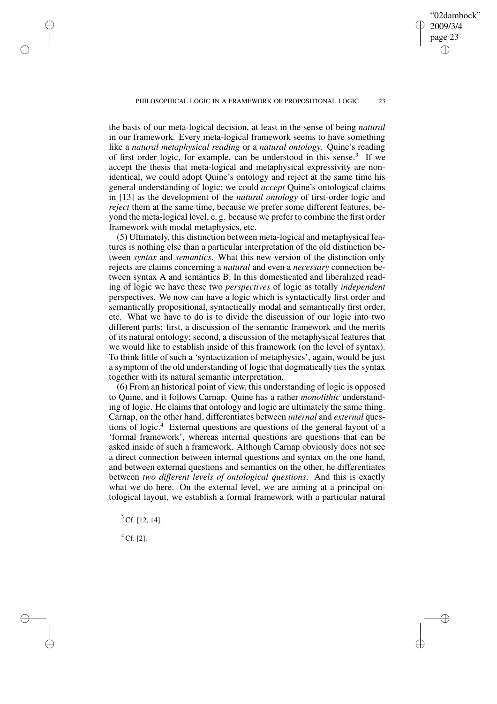✐

#### PHILOSOPHICAL LOGIC IN A FRAMEWORK OF PROPOSITIONAL LOGIC 23

the basis of our meta-logical decision, at least in the sense of being *natural* in our framework. Every meta-logical framework seems to have something like a *natural metaphysical reading* or a *natural ontology*. Quine's reading of first order logic, for example, can be understood in this sense.<sup>3</sup> If we accept the thesis that meta-logical and metaphysical expressivity are nonidentical, we could adopt Quine's ontology and reject at the same time his general understanding of logic; we could *accept* Quine's ontological claims in [13] as the development of the *natural ontology* of first-order logic and *reject* them at the same time, because we prefer some different features, beyond the meta-logical level, e. g. because we prefer to combine the first order framework with modal metaphysics, etc.

(5) Ultimately, this distinction between meta-logical and metaphysical features is nothing else than a particular interpretation of the old distinction between *syntax* and *semantics*. What this new version of the distinction only rejects are claims concerning a *natural* and even a *necessary* connection between syntax A and semantics B. In this domesticated and liberalized reading of logic we have these two *perspectives* of logic as totally *independent* perspectives. We now can have a logic which is syntactically first order and semantically propositional, syntactically modal and semantically first order, etc. What we have to do is to divide the discussion of our logic into two different parts: first, a discussion of the semantic framework and the merits of its natural ontology; second, a discussion of the metaphysical features that we would like to establish inside of this framework (on the level of syntax). To think little of such a 'syntactization of metaphysics', again, would be just a symptom of the old understanding of logic that dogmatically ties the syntax together with its natural semantic interpretation.

(6) From an historical point of view, this understanding of logic is opposed to Quine, and it follows Carnap. Quine has a rather *monolithic* understanding of logic. He claims that ontology and logic are ultimately the same thing. Carnap, on the other hand, differentiates between *internal* and *external* questions of logic.<sup>4</sup> External questions are questions of the general layout of a 'formal framework', whereas internal questions are questions that can be asked inside of such a framework. Although Carnap obviously does not see a direct connection between internal questions and syntax on the one hand, and between external questions and semantics on the other, he differentiates between *two different levels of ontological questions*. And this is exactly what we do here. On the external level, we are aiming at a principal ontological layout, we establish a formal framework with a particular natural

<sup>3</sup> Cf. [12, 14].

 $^{4}$  Cf. [2].

✐

✐

✐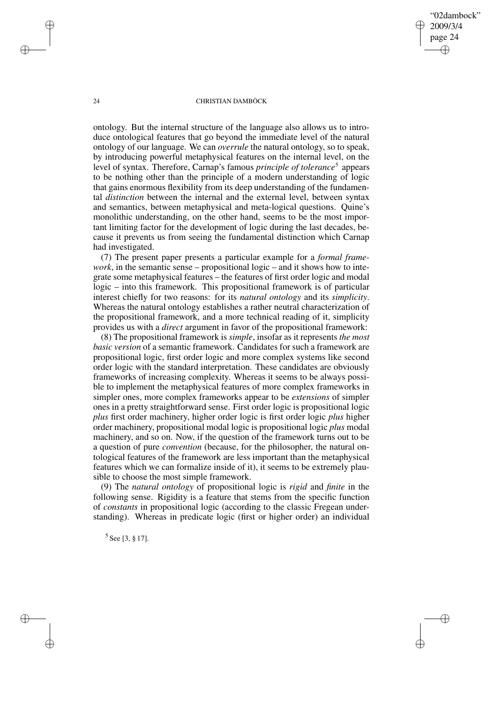✐

### 24 CHRISTIAN DAMBÖCK

ontology. But the internal structure of the language also allows us to introduce ontological features that go beyond the immediate level of the natural ontology of our language. We can *overrule* the natural ontology, so to speak, by introducing powerful metaphysical features on the internal level, on the level of syntax. Therefore, Carnap's famous *principle of tolerance*<sup>5</sup> appears to be nothing other than the principle of a modern understanding of logic that gains enormous flexibility from its deep understanding of the fundamental *distinction* between the internal and the external level, between syntax and semantics, between metaphysical and meta-logical questions. Quine's monolithic understanding, on the other hand, seems to be the most important limiting factor for the development of logic during the last decades, because it prevents us from seeing the fundamental distinction which Carnap had investigated.

(7) The present paper presents a particular example for a *formal framework*, in the semantic sense – propositional logic – and it shows how to integrate some metaphysical features – the features of first order logic and modal logic – into this framework. This propositional framework is of particular interest chiefly for two reasons: for its *natural ontology* and its *simplicity*. Whereas the natural ontology establishes a rather neutral characterization of the propositional framework, and a more technical reading of it, simplicity provides us with a *direct* argument in favor of the propositional framework:

(8) The propositional framework is *simple*, insofar as it represents *the most basic version* of a semantic framework. Candidates for such a framework are propositional logic, first order logic and more complex systems like second order logic with the standard interpretation. These candidates are obviously frameworks of increasing complexity. Whereas it seems to be always possible to implement the metaphysical features of more complex frameworks in simpler ones, more complex frameworks appear to be *extensions* of simpler ones in a pretty straightforward sense. First order logic is propositional logic *plus* first order machinery, higher order logic is first order logic *plus* higher order machinery, propositional modal logic is propositional logic *plus* modal machinery, and so on. Now, if the question of the framework turns out to be a question of pure *convention* (because, for the philosopher, the natural ontological features of the framework are less important than the metaphysical features which we can formalize inside of it), it seems to be extremely plausible to choose the most simple framework.

(9) The *natural ontology* of propositional logic is *rigid* and *finite* in the following sense. Rigidity is a feature that stems from the specific function of *constants* in propositional logic (according to the classic Fregean understanding). Whereas in predicate logic (first or higher order) an individual

5 See [3, § 17].

✐

✐

✐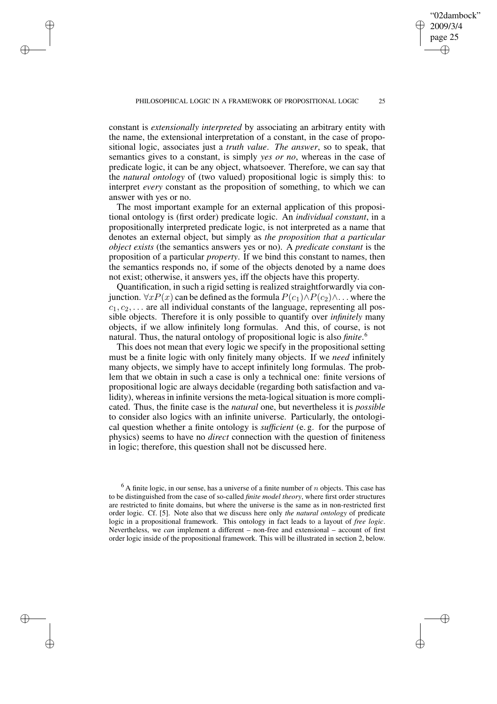✐

✐

✐

constant is *extensionally interpreted* by associating an arbitrary entity with the name, the extensional interpretation of a constant, in the case of propositional logic, associates just a *truth value*. *The answer*, so to speak, that semantics gives to a constant, is simply *yes or no*, whereas in the case of predicate logic, it can be any object, whatsoever. Therefore, we can say that the *natural ontology* of (two valued) propositional logic is simply this: to interpret *every* constant as the proposition of something, to which we can answer with yes or no.

The most important example for an external application of this propositional ontology is (first order) predicate logic. An *individual constant*, in a propositionally interpreted predicate logic, is not interpreted as a name that denotes an external object, but simply as *the proposition that a particular object exists* (the semantics answers yes or no). A *predicate constant* is the proposition of a particular *property*. If we bind this constant to names, then the semantics responds no, if some of the objects denoted by a name does not exist; otherwise, it answers yes, iff the objects have this property.

Quantification, in such a rigid setting is realized straightforwardly via conjunction.  $\forall x P(x)$  can be defined as the formula  $P(c_1) \wedge P(c_2) \wedge \dots$  where the  $c_1, c_2, \ldots$  are all individual constants of the language, representing all possible objects. Therefore it is only possible to quantify over *infinitely* many objects, if we allow infinitely long formulas. And this, of course, is not natural. Thus, the natural ontology of propositional logic is also *finite*. 6

This does not mean that every logic we specify in the propositional setting must be a finite logic with only finitely many objects. If we *need* infinitely many objects, we simply have to accept infinitely long formulas. The problem that we obtain in such a case is only a technical one: finite versions of propositional logic are always decidable (regarding both satisfaction and validity), whereas in infinite versions the meta-logical situation is more complicated. Thus, the finite case is the *natural* one, but nevertheless it is *possible* to consider also logics with an infinite universe. Particularly, the ontological question whether a finite ontology is *sufficient* (e. g. for the purpose of physics) seems to have no *direct* connection with the question of finiteness in logic; therefore, this question shall not be discussed here.

"02dambock" 2009/3/4 page 25

✐

✐

✐

 $6$  A finite logic, in our sense, has a universe of a finite number of *n* objects. This case has to be distinguished from the case of so-called *finite model theory*, where first order structures are restricted to finite domains, but where the universe is the same as in non-restricted first order logic. Cf. [5]. Note also that we discuss here only *the natural ontology* of predicate logic in a propositional framework. This ontology in fact leads to a layout of *free logic*. Nevertheless, we *can* implement a different – non-free and extensional – account of first order logic inside of the propositional framework. This will be illustrated in section 2, below.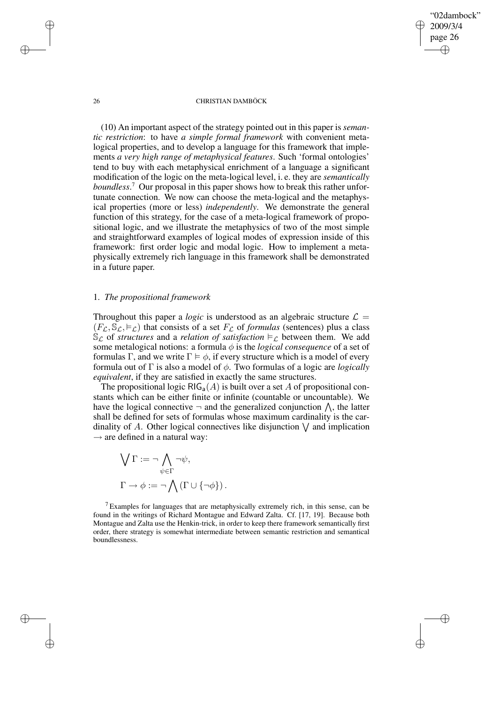✐

### 26 CHRISTIAN DAMBÖCK

(10) An important aspect of the strategy pointed out in this paper is *semantic restriction*: to have *a simple formal framework* with convenient metalogical properties, and to develop a language for this framework that implements *a very high range of metaphysical features*. Such 'formal ontologies' tend to buy with each metaphysical enrichment of a language a significant modification of the logic on the meta-logical level, i. e. they are *semantically boundless*. <sup>7</sup> Our proposal in this paper shows how to break this rather unfortunate connection. We now can choose the meta-logical and the metaphysical properties (more or less) *independently*. We demonstrate the general function of this strategy, for the case of a meta-logical framework of propositional logic, and we illustrate the metaphysics of two of the most simple and straightforward examples of logical modes of expression inside of this framework: first order logic and modal logic. How to implement a metaphysically extremely rich language in this framework shall be demonstrated in a future paper.

# 1. *The propositional framework*

Throughout this paper a *logic* is understood as an algebraic structure  $\mathcal{L} =$  $(F_{\mathcal{L}}, \mathbb{S}_{\mathcal{L}}, \models_{\mathcal{L}})$  that consists of a set  $F_{\mathcal{L}}$  of *formulas* (sentences) plus a class  $\mathcal{S}_{\mathcal{L}}$  of *structures* and a *relation* of *satisfaction*  $\models_{\mathcal{L}}$  between them. We add some metalogical notions: a formula  $\phi$  is the *logical consequence* of a set of formulas Γ, and we write  $\Gamma \models \phi$ , if every structure which is a model of every formula out of Γ is also a model of φ. Two formulas of a logic are *logically equivalent*, if they are satisfied in exactly the same structures.

The propositional logic  $RIG_a(A)$  is built over a set A of propositional constants which can be either finite or infinite (countable or uncountable). We have the logical connective  $\neg$  and the generalized conjunction  $\bigwedge$ , the latter shall be defined for sets of formulas whose maximum cardinality is the cardinality of A. Other logical connectives like disjunction  $\bigvee$  and implication  $\rightarrow$  are defined in a natural way:

$$
\bigvee \Gamma := \neg \bigwedge_{\psi \in \Gamma} \neg \psi,
$$
  

$$
\Gamma \to \phi := \neg \bigwedge (\Gamma \cup \{\neg \phi\}).
$$

 $7$  Examples for languages that are metaphysically extremely rich, in this sense, can be found in the writings of Richard Montague and Edward Zalta. Cf. [17, 19]. Because both Montague and Zalta use the Henkin-trick, in order to keep there framework semantically first order, there strategy is somewhat intermediate between semantic restriction and semantical boundlessness.

✐

✐

✐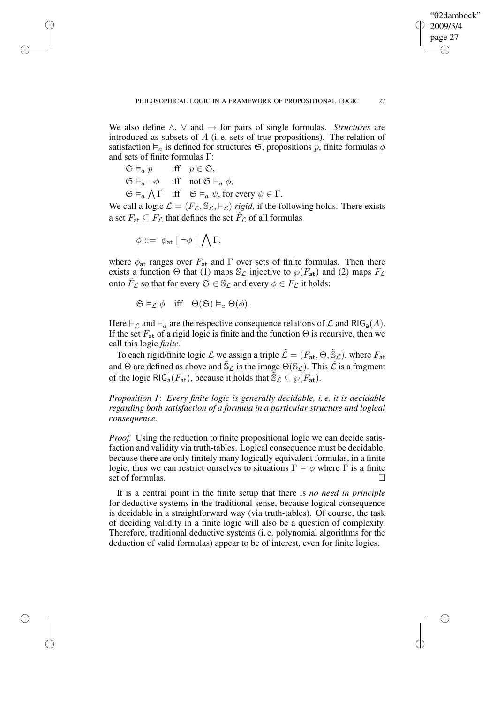✐

We also define ∧, ∨ and → for pairs of single formulas. *Structures* are introduced as subsets of A (i. e. sets of true propositions). The relation of satisfaction  $\vDash$ <sub>a</sub> is defined for structures  $\mathfrak{S}$ , propositions p, finite formulas  $\phi$ and sets of finite formulas Γ:

 $\mathfrak{S} \vDash_a p$  iff  $p \in \mathfrak{S}$ ,  $\mathfrak{S} \models_a \neg \phi$  iff not  $\mathfrak{S} \models_a \phi$ ,  $\mathfrak{S} \vDash_{a} \bigwedge \Gamma$  iff  $\mathfrak{S} \vDash_{a} \psi$ , for every  $\psi \in \Gamma$ .

We call a logic  $\mathcal{L} = (F_{\mathcal{L}}, \mathbb{S}_{\mathcal{L}}, \models_{\mathcal{L}})$  *rigid*, if the following holds. There exists a set  $F_{\mathsf{at}} \subseteq F_{\mathcal{L}}$  that defines the set  $\hat{F}_{\mathcal{L}}$  of all formulas

 $\phi ::= \phi_{\sf at} | \neg \phi | \bigwedge \Gamma,$ 

✐

✐

✐

✐

where  $\phi_{\text{at}}$  ranges over  $F_{\text{at}}$  and  $\Gamma$  over sets of finite formulas. Then there exists a function  $\Theta$  that (1) maps  $\mathcal{S}_{\mathcal{L}}$  injective to  $\wp(F_{\mathsf{at}})$  and (2) maps  $F_{\mathcal{L}}$ onto  $\hat{F}_\mathcal{L}$  so that for every  $\mathfrak{S} \in \mathbb{S}_\mathcal{L}$  and every  $\phi \in F_\mathcal{L}$  it holds:

 $\mathfrak{S} \models_{\mathcal{L}} \phi$  iff  $\Theta(\mathfrak{S}) \models_{a} \Theta(\phi)$ .

Here  $\models_{\mathcal{L}}$  and  $\models_{a}$  are the respective consequence relations of  $\mathcal{L}$  and RIG<sub>a</sub>(A). If the set  $F_{at}$  of a rigid logic is finite and the function  $\Theta$  is recursive, then we call this logic *finite*.

To each rigid/finite logic  $\mathcal L$  we assign a triple  $\tilde{\mathcal L}=(F_{\sf at},\Theta,\tilde{\mathbb S}_\mathcal L)$ , where  $F_{\sf at}$ and  $\Theta$  are defined as above and  $\tilde{\mathbb{S}}_{\mathcal{L}}$  is the image  $\Theta(\mathbb{S}_{\mathcal{L}})$ . This  $\tilde{\mathcal{L}}$  is a fragment of the logic RIG<sub>a</sub>( $F_{at}$ ), because it holds that  $\tilde{S}_{\mathcal{L}} \subseteq \wp(F_{at})$ .

*Proposition 1*: *Every finite logic is generally decidable, i. e. it is decidable regarding both satisfaction of a formula in a particular structure and logical consequence.*

*Proof.* Using the reduction to finite propositional logic we can decide satisfaction and validity via truth-tables. Logical consequence must be decidable, because there are only finitely many logically equivalent formulas, in a finite logic, thus we can restrict ourselves to situations  $\Gamma \models \phi$  where  $\Gamma$  is a finite set of formulas.

It is a central point in the finite setup that there is *no need in principle* for deductive systems in the traditional sense, because logical consequence is decidable in a straightforward way (via truth-tables). Of course, the task of deciding validity in a finite logic will also be a question of complexity. Therefore, traditional deductive systems (i. e. polynomial algorithms for the deduction of valid formulas) appear to be of interest, even for finite logics.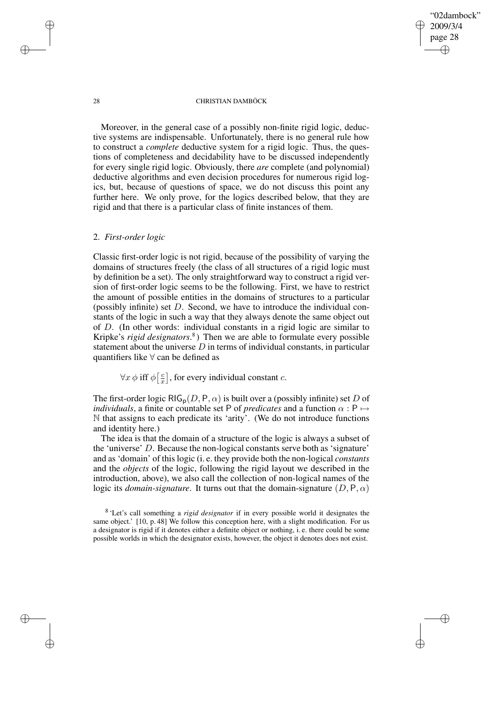✐

#### 28 CHRISTIAN DAMBÖCK

Moreover, in the general case of a possibly non-finite rigid logic, deductive systems are indispensable. Unfortunately, there is no general rule how to construct a *complete* deductive system for a rigid logic. Thus, the questions of completeness and decidability have to be discussed independently for every single rigid logic. Obviously, there *are* complete (and polynomial) deductive algorithms and even decision procedures for numerous rigid logics, but, because of questions of space, we do not discuss this point any further here. We only prove, for the logics described below, that they are rigid and that there is a particular class of finite instances of them.

## 2. *First-order logic*

Classic first-order logic is not rigid, because of the possibility of varying the domains of structures freely (the class of all structures of a rigid logic must by definition be a set). The only straightforward way to construct a rigid version of first-order logic seems to be the following. First, we have to restrict the amount of possible entities in the domains of structures to a particular (possibly infinite) set  $D$ . Second, we have to introduce the individual constants of the logic in such a way that they always denote the same object out of D. (In other words: individual constants in a rigid logic are similar to Kripke's *rigid designators*. 8 ) Then we are able to formulate every possible statement about the universe  $D$  in terms of individual constants, in particular quantifiers like ∀ can be defined as

 $\forall x \phi \text{ iff } \phi \big[\frac{c}{x}\big]$  $\left[\frac{c}{x}\right]$ , for every individual constant c.

The first-order logic RIG<sub>p</sub> $(D, P, \alpha)$  is built over a (possibly infinite) set D of *individuals*, a finite or countable set P of *predicates* and a function  $\alpha$  : P  $\mapsto$ N that assigns to each predicate its 'arity'. (We do not introduce functions and identity here.)

The idea is that the domain of a structure of the logic is always a subset of the 'universe' D. Because the non-logical constants serve both as 'signature' and as'domain' of thislogic (i. e. they provide both the non-logical *constants* and the *objects* of the logic, following the rigid layout we described in the introduction, above), we also call the collection of non-logical names of the logic its *domain-signature*. It turns out that the domain-signature  $(D, P, \alpha)$ 

✐

✐

✐

<sup>8</sup> 'Let's call something a *rigid designator* if in every possible world it designates the same object.' [10, p. 48] We follow this conception here, with a slight modification. For us a designator is rigid if it denotes either a definite object or nothing, i. e. there could be some possible worlds in which the designator exists, however, the object it denotes does not exist.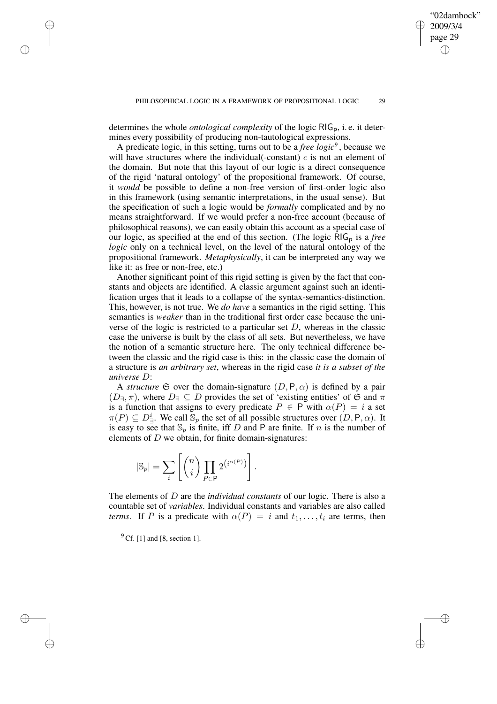determines the whole *ontological complexity* of the logic RIG<sub>p</sub>, i.e. it determines every possibility of producing non-tautological expressions.

A predicate logic, in this setting, turns out to be a *free logic*<sup>9</sup>, because we will have structures where the individual (-constant)  $c$  is not an element of the domain. But note that this layout of our logic is a direct consequence of the rigid 'natural ontology' of the propositional framework. Of course, it *would* be possible to define a non-free version of first-order logic also in this framework (using semantic interpretations, in the usual sense). But the specification of such a logic would be *formally* complicated and by no means straightforward. If we would prefer a non-free account (because of philosophical reasons), we can easily obtain this account as a special case of our logic, as specified at the end of this section. (The logic RIG<sub>p</sub> is a *free logic* only on a technical level, on the level of the natural ontology of the propositional framework. *Metaphysically*, it can be interpreted any way we like it: as free or non-free, etc.)

Another significant point of this rigid setting is given by the fact that constants and objects are identified. A classic argument against such an identification urges that it leads to a collapse of the syntax-semantics-distinction. This, however, is not true. We *do have* a semantics in the rigid setting. This semantics is *weaker* than in the traditional first order case because the universe of the logic is restricted to a particular set  $D$ , whereas in the classic case the universe is built by the class of all sets. But nevertheless, we have the notion of a semantic structure here. The only technical difference between the classic and the rigid case is this: in the classic case the domain of a structure is *an arbitrary set*, whereas in the rigid case *it is a subset of the universe* D:

A *structure*  $\mathfrak S$  over the domain-signature  $(D, \mathsf P, \alpha)$  is defined by a pair  $(D_{\exists}, \pi)$ , where  $D_{\exists} \subseteq D$  provides the set of 'existing entities' of G and  $\pi$ is a function that assigns to every predicate  $P \in \mathsf{P}$  with  $\alpha(P) = i$  a set  $\pi(P) \subseteq D^i_{\exists}$ . We call  $\mathbb{S}_p$  the set of all possible structures over  $(D, \mathsf{P}, \alpha)$ . It is easy to see that  $\mathbb{S}_p$  is finite, iff D and P are finite. If n is the number of elements of  $D$  we obtain, for finite domain-signatures:

$$
|\mathbb{S}_p| = \sum_i \left[ \binom{n}{i} \prod_{P \in \mathsf{P}} 2^{\left(i^{\alpha(P)}\right)} \right].
$$

The elements of D are the *individual constants* of our logic. There is also a countable set of *variables*. Individual constants and variables are also called *terms*. If P is a predicate with  $\alpha(P) = i$  and  $t_1, \ldots, t_i$  are terms, then

 $9$  Cf. [1] and [8, section 1].

✐

✐

✐

✐

"02dambock" 2009/3/4 page 29

✐

✐

✐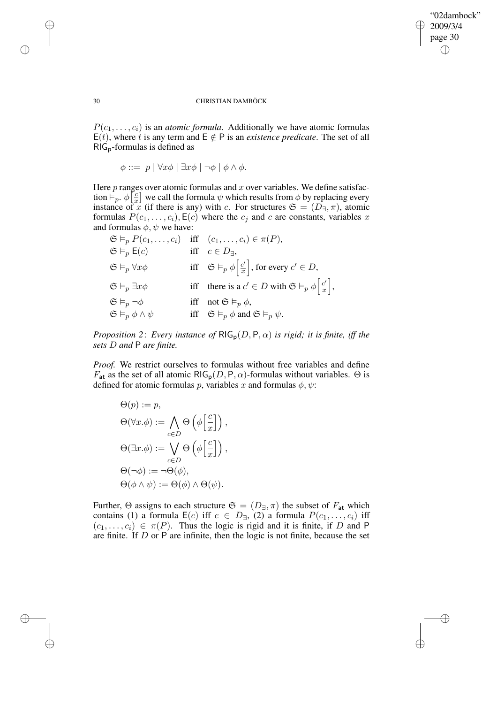✐

### 30 CHRISTIAN DAMBÖCK

 $P(c_1, \ldots, c_i)$  is an *atomic formula*. Additionally we have atomic formulas E(t), where t is any term and  $E \notin P$  is an *existence predicate*. The set of all RIGp-formulas is defined as

 $\phi ::= p \mid \forall x \phi \mid \exists x \phi \mid \neg \phi \mid \phi \land \phi.$ 

Here  $p$  ranges over atomic formulas and  $x$  over variables. We define satisfaction  $\models_p. \phi \,\vert\, \frac{c}{x}$  $\frac{c}{x}$  we call the formula  $\psi$  which results from  $\phi$  by replacing every instance of x (if there is any) with c. For structures  $\mathfrak{S} = (D_{\exists}, \pi)$ , atomic formulas  $P(c_1, \ldots, c_i)$ ,  $E(c)$  where the  $c_i$  and c are constants, variables x and formulas  $\phi$ ,  $\psi$  we have:

|                                          | $\mathfrak{S} \vDash_{p} P(c_1, \ldots, c_i)$ iff $(c_1, \ldots, c_i) \in \pi(P)$ ,       |
|------------------------------------------|-------------------------------------------------------------------------------------------|
| $\mathfrak{S} \vDash_{p} \mathsf{E}(c)$  | iff $c \in D_{\exists}$ ,                                                                 |
| $\mathfrak{S} \vDash_p \forall x \phi$   | iff $\mathfrak{S} \vDash_p \phi \left[ \frac{c'}{x} \right]$ , for every $c' \in D$ ,     |
| $\mathfrak{S} \vDash_p \exists x \phi$   | iff there is a $c' \in D$ with $\mathfrak{S} \vDash_p \phi \left  \frac{c'}{x} \right $ , |
| $\mathfrak{S}\vDash_p \neg \phi$         | iff not $\mathfrak{S} \vDash_{p} \phi$ ,                                                  |
| $\mathfrak{S} \vDash_p \phi \wedge \psi$ | iff $\mathfrak{S} \vDash_p \phi$ and $\mathfrak{S} \vDash_p \psi$ .                       |

*Proposition* 2: *Every instance of*  $\text{RIG}_p(D, P, \alpha)$  *is rigid; it is finite, iff the sets* D *and* P *are finite.*

*Proof.* We restrict ourselves to formulas without free variables and define  $F_{\text{at}}$  as the set of all atomic RIG<sub>p</sub>(D, P,  $\alpha$ )-formulas without variables.  $\Theta$  is defined for atomic formulas p, variables x and formulas  $\phi$ ,  $\psi$ :

$$
\Theta(p) := p,
$$
  
\n
$$
\Theta(\forall x. \phi) := \bigwedge_{c \in D} \Theta\left(\phi\left[\frac{c}{x}\right]\right),
$$
  
\n
$$
\Theta(\exists x. \phi) := \bigvee_{c \in D} \Theta\left(\phi\left[\frac{c}{x}\right]\right),
$$
  
\n
$$
\Theta(\neg \phi) := \neg \Theta(\phi),
$$
  
\n
$$
\Theta(\phi \land \psi) := \Theta(\phi) \land \Theta(\psi).
$$

Further,  $\Theta$  assigns to each structure  $\mathfrak{S} = (D_{\exists}, \pi)$  the subset of  $F_{\sf at}$  which contains (1) a formula  $E(c)$  iff  $c \in D_{\exists}$ ,  $(2)$  a formula  $P(c_1, \ldots, c_i)$  iff  $(c_1, \ldots, c_i) \in \pi(P)$ . Thus the logic is rigid and it is finite, if D and P are finite. If  $D$  or  $P$  are infinite, then the logic is not finite, because the set

✐

✐

✐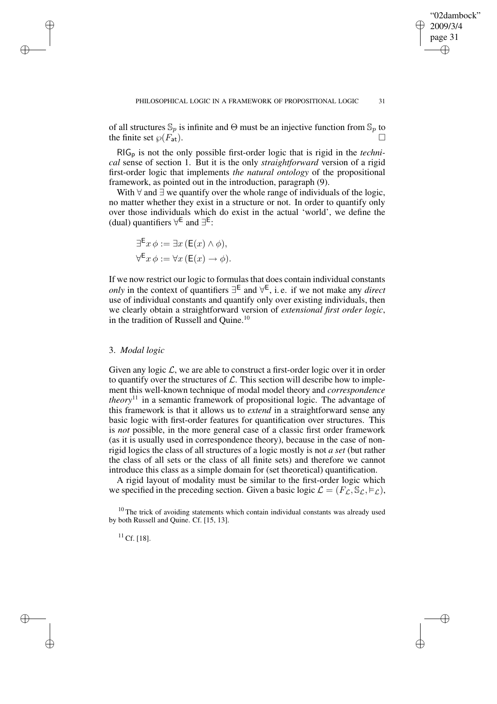✐

of all structures  $\mathbb{S}_p$  is infinite and  $\Theta$  must be an injective function from  $\mathbb{S}_p$  to the finite set  $\wp(F_{at})$ .

RIG<sup>p</sup> is not the only possible first-order logic that is rigid in the *technical* sense of section 1. But it is the only *straightforward* version of a rigid first-order logic that implements *the natural ontology* of the propositional framework, as pointed out in the introduction, paragraph (9).

With ∀ and ∃ we quantify over the whole range of individuals of the logic, no matter whether they exist in a structure or not. In order to quantify only over those individuals which do exist in the actual 'world', we define the (dual) quantifiers  $\forall^{\mathsf{E}}$  and  $\exists^{\mathsf{E}}$ :

$$
\exists^{\mathsf{E}} x \, \phi := \exists x \, (\mathsf{E}(x) \land \phi),
$$

$$
\forall^{\mathsf{E}} x \, \phi := \forall x \, (\mathsf{E}(x) \to \phi).
$$

If we now restrict our logic to formulas that does contain individual constants *only* in the context of quantifiers ∃ E and ∀ E , i. e. if we not make any *direct* use of individual constants and quantify only over existing individuals, then we clearly obtain a straightforward version of *extensional first order logic*, in the tradition of Russell and Quine.<sup>10</sup>

## 3. *Modal logic*

✐

✐

✐

✐

Given any logic  $\mathcal{L}$ , we are able to construct a first-order logic over it in order to quantify over the structures of  $\mathcal{L}$ . This section will describe how to implement this well-known technique of modal model theory and *correspondence theory*<sup>11</sup> in a semantic framework of propositional logic. The advantage of this framework is that it allows us to *extend* in a straightforward sense any basic logic with first-order features for quantification over structures. This is *not* possible, in the more general case of a classic first order framework (as it is usually used in correspondence theory), because in the case of nonrigid logics the class of all structures of a logic mostly is not *a set* (but rather the class of all sets or the class of all finite sets) and therefore we cannot introduce this class as a simple domain for (set theoretical) quantification.

A rigid layout of modality must be similar to the first-order logic which we specified in the preceding section. Given a basic logic  $\mathcal{L} = (F_{\mathcal{L}}, \mathbb{S}_{\mathcal{L}}, \models_{\mathcal{L}})$ ,

<sup>10</sup> The trick of avoiding statements which contain individual constants was already used by both Russell and Quine. Cf. [15, 13].

 $11$  Cf. [18].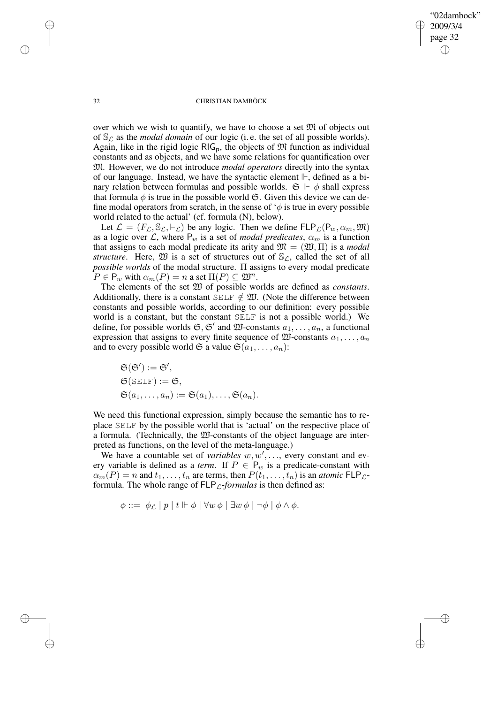"02dambock" 2009/3/4 page 32 ✐ ✐

✐

✐

## 32 CHRISTIAN DAMBÖCK

over which we wish to quantify, we have to choose a set  $M$  of objects out of  $\mathcal{S}_{\mathcal{L}}$  as the *modal domain* of our logic (i.e. the set of all possible worlds). Again, like in the rigid logic  $RIG_p$ , the objects of  $M$  function as individual constants and as objects, and we have some relations for quantification over M. However, we do not introduce *modal operators* directly into the syntax of our language. Instead, we have the syntactic element  $\mathbb{H}$ , defined as a binary relation between formulas and possible worlds.  $\mathfrak{S} \Vdash \phi$  shall express that formula  $\phi$  is true in the possible world  $\mathfrak{S}$ . Given this device we can define modal operators from scratch, in the sense of  $\phi$  is true in every possible world related to the actual' (cf. formula (N), below).

Let  $\mathcal{L} = (F_{\mathcal{L}}, \mathbb{S}_{\mathcal{L}}, \models_{\mathcal{L}})$  be any logic. Then we define  $FLP_{\mathcal{L}}(P_w, \alpha_m, \mathfrak{M})$ as a logic over L, where  $P_w$  is a set of *modal predicates*,  $\alpha_m$  is a function that assigns to each modal predicate its arity and  $\mathfrak{M} = (\mathfrak{W}, \Pi)$  is a *modal structure*. Here,  $\mathfrak W$  is a set of structures out of  $\mathbb S_{\mathcal L}$ , called the set of all *possible worlds* of the modal structure. Π assigns to every modal predicate  $P \in \mathsf{P}_w$  with  $\alpha_m(P) = n$  a set  $\Pi(P) \subseteq \mathfrak{W}^n$ .

The elements of the set W of possible worlds are defined as *constants*. Additionally, there is a constant SELF  $\notin \mathfrak{W}$ . (Note the difference between constants and possible worlds, according to our definition: every possible world is a constant, but the constant SELF is not a possible world.) We define, for possible worlds  $\mathfrak{S}, \mathfrak{S}'$  and  $\mathfrak{W}$ -constants  $a_1, \ldots, a_n$ , a functional expression that assigns to every finite sequence of  $\mathfrak{W}$ -constants  $a_1, \ldots, a_n$ and to every possible world  $\mathfrak{S}$  a value  $\mathfrak{S}(a_1, \ldots, a_n)$ :

$$
\mathfrak{S}(\mathfrak{S}') := \mathfrak{S}',
$$
  
\n
$$
\mathfrak{S}(\text{SELF}) := \mathfrak{S},
$$
  
\n
$$
\mathfrak{S}(a_1, \ldots, a_n) := \mathfrak{S}(a_1), \ldots, \mathfrak{S}(a_n).
$$

We need this functional expression, simply because the semantic has to replace SELF by the possible world that is 'actual' on the respective place of a formula. (Technically, the W-constants of the object language are interpreted as functions, on the level of the meta-language.)

We have a countable set of *variables*  $w, w', \dots$ , every constant and every variable is defined as a *term*. If  $P \in P_w$  is a predicate-constant with  $\alpha_m(P) = n$  and  $t_1, \ldots, t_n$  are terms, then  $P(t_1, \ldots, t_n)$  is an *atomic*  $FLP_{\mathcal{L}}$ formula. The whole range of  $FLP<sub>C</sub>$ -*formulas* is then defined as:

$$
\phi ::= \phi_{\mathcal{L}} \mid p \mid t \Vdash \phi \mid \forall w \, \phi \mid \exists w \, \phi \mid \neg \phi \mid \phi \land \phi.
$$

✐

✐

✐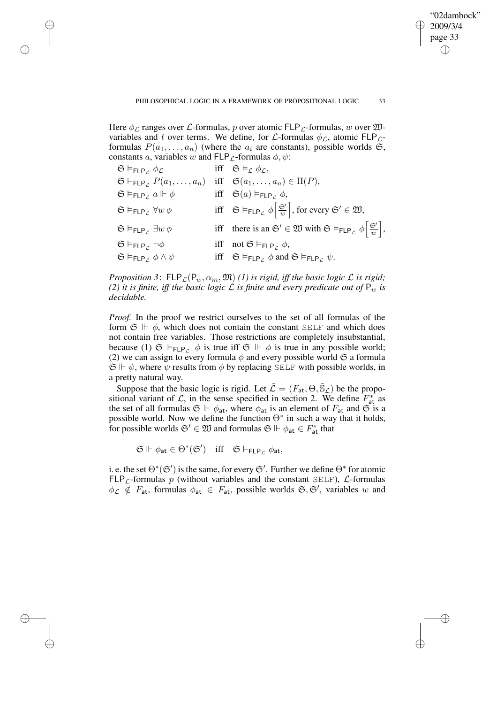,

✐

✐

Here  $\phi_{\mathcal{L}}$  ranges over  $\mathcal{L}$ -formulas, p over atomic FLP<sub> $\mathcal{L}$ </sub>-formulas, w over  $\mathfrak{W}$ variables and t over terms. We define, for  $\mathcal{L}$ -formulas  $\phi_{\mathcal{L}}$ , atomic FLP<sub>L</sub>formulas  $P(a_1, \ldots, a_n)$  (where the  $a_i$  are constants), possible worlds  $\mathfrak{S}$ , constants a, variables w and  $FLP<sub>L</sub>$ -formulas  $\phi, \psi$ :

✐

✐

✐

✐

| $\mathfrak{S} \vDash_{\mathsf{FLP}_{\mathcal{L}}} \phi_{\mathcal{L}}$  | iff $\mathfrak{S} \models_{\mathcal{L}} \phi_{\mathcal{L}}$ ,                                                                                         |
|------------------------------------------------------------------------|-------------------------------------------------------------------------------------------------------------------------------------------------------|
| $\mathfrak{S} \vDash_{\mathsf{FLP}_{\mathcal{C}}} P(a_1, \ldots, a_n)$ | iff $\mathfrak{S}(a_1,\ldots,a_n) \in \Pi(P)$ ,                                                                                                       |
| $\mathfrak{S} \vDash_{\mathsf{FLP}_C} a \Vdash \phi$                   | iff $\mathfrak{S}(a) \models_{\mathsf{FLP}_C} \phi$ ,                                                                                                 |
| $\mathfrak{S} \vDash_{\mathsf{FLP}_c} \forall w \phi$                  | iff $\mathfrak{S} \vDash_{\mathsf{FLP}_{\mathcal{L}}} \phi \left[\frac{\mathfrak{S}'}{w}\right]$ , for every $\mathfrak{S}' \in \mathfrak{W}$ ,       |
| $\mathfrak{S} \vDash_{\mathsf{FLP}_c} \exists w \phi$                  | iff there is an $\mathfrak{S}' \in \mathfrak{W}$ with $\mathfrak{S} \models_{\mathsf{FLP}_{\mathcal{L}}} \phi \left  \frac{\mathfrak{S}'}{w} \right $ |
| $\mathfrak{S} \vDash_{\mathsf{FLP}_{\mathcal{L}}} \neg \phi$           | iff not $\mathfrak{S} \models_{\mathsf{FLP}_{\mathcal{L}}} \phi$ ,                                                                                    |
| $\mathfrak{S} \vDash_{\mathsf{FLP}_{\mathcal{L}}} \phi \wedge \psi$    | iff $\mathfrak{S} \models_{\mathsf{FLP}_c} \phi$ and $\mathfrak{S} \models_{\mathsf{FLP}_c} \psi$ .                                                   |

*Proposition* 3:  $FLP_{\mathcal{L}}(P_w, \alpha_m, \mathfrak{M})$  *(1) is rigid, iff the basic logic*  $\mathcal{L}$  *is rigid; (2) it is finite, iff the basic logic*  $\mathcal L$  *is finite and every predicate out of*  $P_w$  *is decidable.*

*Proof.* In the proof we restrict ourselves to the set of all formulas of the form  $\mathfrak{S} \Vdash \phi$ , which does not contain the constant SELF and which does not contain free variables. Those restrictions are completely insubstantial, because (1)  $\mathfrak{S} \models_{\mathsf{FLP}_c} \phi$  is true iff  $\mathfrak{S} \Vdash \phi$  is true in any possible world; (2) we can assign to every formula  $\phi$  and every possible world  $\mathfrak S$  a formula  $\mathfrak{S} \Vdash \psi$ , where  $\psi$  results from  $\phi$  by replacing SELF with possible worlds, in a pretty natural way.

Suppose that the basic logic is rigid. Let  $\tilde{\mathcal{L}} = (F_{at}, \Theta, \tilde{\mathbb{S}}_{\mathcal{L}})$  be the propositional variant of L, in the sense specified in section 2. We define  $F_{at}^{*}$  as the set of all formulas  $\mathfrak{S} \Vdash \phi_{\textsf{at}}$ , where  $\phi_{\textsf{at}}$  is an element of  $F_{\textsf{at}}$  and  $\mathfrak{S}$  is a possible world. Now we define the function  $\Theta^*$  in such a way that it holds, for possible worlds  $\mathfrak{S}' \in \mathfrak{W}$  and formulas  $\mathfrak{S} \Vdash \phi_{\sf at} \in F_{\sf at}^*$  that

 $\mathfrak{S} \Vdash \phi_{\mathsf{at}} \in \Theta^*(\mathfrak{S}') \quad \text{iff} \quad \mathfrak{S} \vDash_{\mathsf{FLP}_{\mathcal{L}}} \phi_{\mathsf{at}},$ 

i. e. the set  $\Theta^*(\mathfrak{S}')$  is the same, for every  $\mathfrak{S}'$ . Further we define  $\Theta^*$  for atomic  $FLP<sub>L</sub>$ -formulas p (without variables and the constant SELF),  $L$ -formulas  $\phi_{\mathcal{L}} \notin F_{\textsf{at}}$ , formulas  $\phi_{\textsf{at}} \in F_{\textsf{at}}$ , possible worlds  $\mathfrak{S}, \mathfrak{S}'$ , variables w and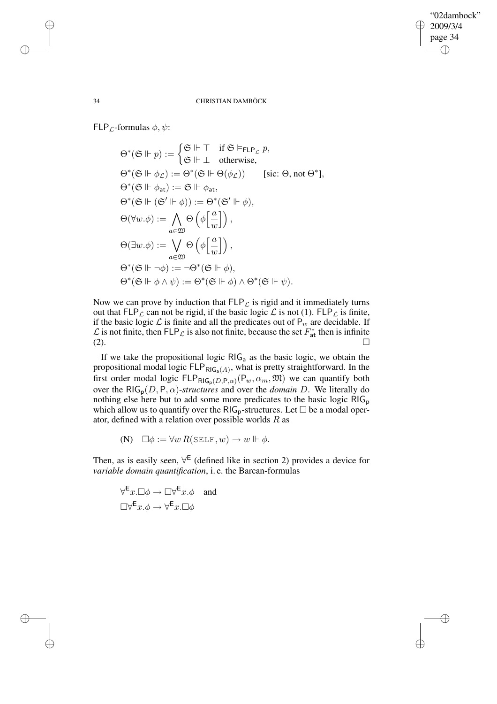✐

## 34 CHRISTIAN DAMBÖCK

FLP<sub>*c*</sub>-formulas  $\phi, \psi$ :

$$
\Theta^*(\mathfrak{S} \Vdash p) := \begin{cases} \mathfrak{S} \Vdash \top & \text{if } \mathfrak{S} \models_{\mathsf{FLP}_\mathcal{L}} p, \\ \mathfrak{S} \Vdash \bot & \text{otherwise,} \end{cases}
$$
  
\n
$$
\Theta^*(\mathfrak{S} \Vdash \phi_\mathcal{L}) := \Theta^*(\mathfrak{S} \Vdash \Theta(\phi_\mathcal{L})) \qquad \text{[sic: } \Theta, \text{not } \Theta^* \text{],}
$$
  
\n
$$
\Theta^*(\mathfrak{S} \Vdash \phi_{\text{at}}) := \mathfrak{S} \Vdash \phi_{\text{at}},
$$
  
\n
$$
\Theta^*(\mathfrak{S} \Vdash (\mathfrak{S}' \Vdash \phi)) := \Theta^*(\mathfrak{S}' \Vdash \phi),
$$
  
\n
$$
\Theta(\forall w.\phi) := \bigwedge_{a \in \mathfrak{W}} \Theta\left(\phi\left[\frac{a}{w}\right]\right),
$$
  
\n
$$
\Theta(\exists w.\phi) := \bigvee_{a \in \mathfrak{W}} \Theta\left(\phi\left[\frac{a}{w}\right]\right),
$$
  
\n
$$
\Theta^*(\mathfrak{S} \Vdash \neg \phi) := \neg \Theta^*(\mathfrak{S} \Vdash \phi),
$$
  
\n
$$
\Theta^*(\mathfrak{S} \Vdash \phi \land \psi) := \Theta^*(\mathfrak{S} \Vdash \phi) \land \Theta^*(\mathfrak{S} \Vdash \psi).
$$

Now we can prove by induction that  $FLP_{\mathcal{L}}$  is rigid and it immediately turns out that  $FLP_{\mathcal{L}}$  can not be rigid, if the basic logic  $\mathcal{L}$  is not (1).  $FLP_{\mathcal{L}}$  is finite, if the basic logic  $\mathcal L$  is finite and all the predicates out of  $P_w$  are decidable. If  $\mathcal L$  is not finite, then FLP<sub>L</sub> is also not finite, because the set  $F_{\text{at}}^*$  then is infinite  $\overline{z}$  at  $\Box$ 

If we take the propositional logic  $RIG_a$  as the basic logic, we obtain the propositional modal logic  $\mathsf{FLP}_{\mathsf{RIG}_a(A)}$ , what is pretty straightforward. In the first order modal logic  $FLP_{RIG_p(D,P,\alpha)}(P_w, \alpha_m, \mathfrak{M})$  we can quantify both over the  $RIG_p(D, P, \alpha)$ -*structures* and over the *domain* D. We literally do nothing else here but to add some more predicates to the basic logic RIG<sub>p</sub> which allow us to quantify over the  $RIG_p$ -structures. Let  $\Box$  be a modal operator, defined with a relation over possible worlds  $R$  as

(N)  $\square \phi := \forall w \, R(\texttt{SELF}, w) \rightarrow w \Vdash \phi.$ 

Then, as is easily seen,  $\forall^{E}$  (defined like in section 2) provides a device for *variable domain quantification*, i. e. the Barcan-formulas

$$
\forall^{\mathsf{E}} x.\Box \phi \to \Box \forall^{\mathsf{E}} x.\phi \quad \text{and}
$$

$$
\Box \forall^{\mathsf{E}} x.\phi \to \forall^{\mathsf{E}} x.\Box \phi
$$

✐

✐

✐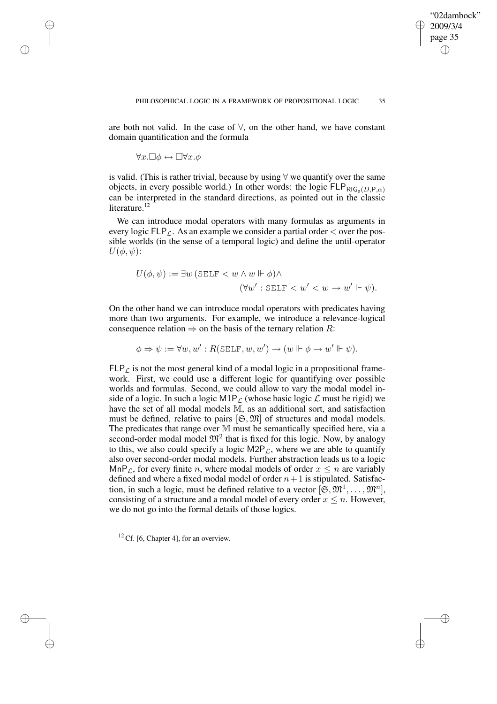are both not valid. In the case of ∀, on the other hand, we have constant domain quantification and the formula

 $\forall x.\Box \phi \leftrightarrow \Box \forall x.\phi$ 

✐

✐

✐

✐

is valid. (This is rather trivial, because by using ∀ we quantify over the same objects, in every possible world.) In other words: the logic  $FLP_{RIG_n(D,P,\alpha)}$ can be interpreted in the standard directions, as pointed out in the classic literature.<sup>12</sup>

We can introduce modal operators with many formulas as arguments in every logic  $FLP<sub>C</sub>$ . As an example we consider a partial order  $\lt$  over the possible worlds (in the sense of a temporal logic) and define the until-operator  $U(\phi, \psi)$ :

$$
U(\phi, \psi) := \exists w \, (\text{SELF} < w \land w \Vdash \phi) \land (\forall w' : \text{SELF} < w' < w \rightarrow w' \Vdash \psi).
$$

On the other hand we can introduce modal operators with predicates having more than two arguments. For example, we introduce a relevance-logical consequence relation  $\Rightarrow$  on the basis of the ternary relation R:

$$
\phi \Rightarrow \psi := \forall w, w' : R(\text{SELECT}, w, w') \rightarrow (w \Vdash \phi \rightarrow w' \Vdash \psi).
$$

 $FLP<sub>L</sub>$  is not the most general kind of a modal logic in a propositional framework. First, we could use a different logic for quantifying over possible worlds and formulas. Second, we could allow to vary the modal model inside of a logic. In such a logic  $M1P_{\mathcal{L}}$  (whose basic logic  $\mathcal{L}$  must be rigid) we have the set of all modal models M, as an additional sort, and satisfaction must be defined, relative to pairs  $[\mathfrak{S}, \mathfrak{M}]$  of structures and modal models. The predicates that range over M must be semantically specified here, via a second-order modal model  $\mathfrak{M}^2$  that is fixed for this logic. Now, by analogy to this, we also could specify a logic  $M2P<sub>L</sub>$ , where we are able to quantify also over second-order modal models. Further abstraction leads us to a logic MnP<sub>L</sub>, for every finite n, where modal models of order  $x \leq n$  are variably defined and where a fixed modal model of order  $n+1$  is stipulated. Satisfaction, in such a logic, must be defined relative to a vector  $[\mathfrak{S}, \mathfrak{M}^1, \dots, \mathfrak{M}^n]$ , consisting of a structure and a modal model of every order  $x \leq n$ . However, we do not go into the formal details of those logics.

 $12$  Cf. [6, Chapter 4], for an overview.

"02dambock" 2009/3/4 page 35

✐

✐

✐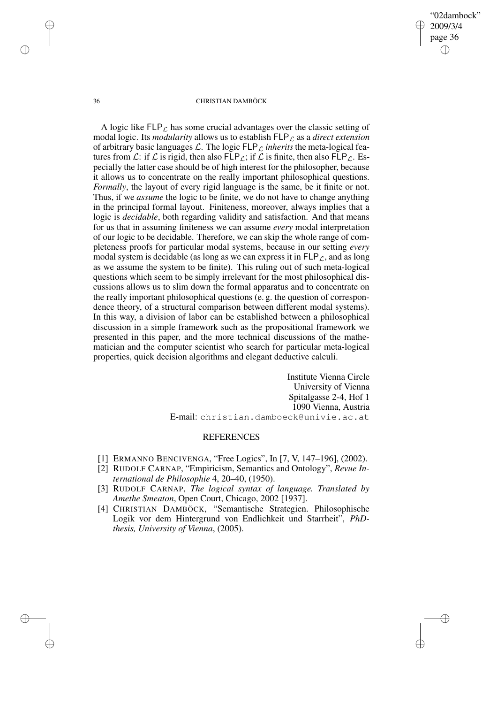"02dambock" 2009/3/4 page 36 ✐ ✐

✐

✐

### 36 CHRISTIAN DAMBÖCK

A logic like  $FLP_{\mathcal{L}}$  has some crucial advantages over the classic setting of modal logic. Its *modularity* allows us to establish  $FLP<sub>L</sub>$  as a *direct extension* of arbitrary basic languages  $\mathcal{L}$ . The logic  $FLP_{\mathcal{L}}$  *inherits* the meta-logical features from  $\mathcal{L}$ : if  $\mathcal{L}$  is rigid, then also FLP<sub> $\mathcal{L}$ </sub>; if  $\mathcal{L}$  is finite, then also FLP<sub> $\mathcal{L}$ </sub>. Especially the latter case should be of high interest for the philosopher, because it allows us to concentrate on the really important philosophical questions. *Formally*, the layout of every rigid language is the same, be it finite or not. Thus, if we *assume* the logic to be finite, we do not have to change anything in the principal formal layout. Finiteness, moreover, always implies that a logic is *decidable*, both regarding validity and satisfaction. And that means for us that in assuming finiteness we can assume *every* modal interpretation of our logic to be decidable. Therefore, we can skip the whole range of completeness proofs for particular modal systems, because in our setting *every* modal system is decidable (as long as we can express it in  $FLP<sub>C</sub>$ , and as long as we assume the system to be finite). This ruling out of such meta-logical questions which seem to be simply irrelevant for the most philosophical discussions allows us to slim down the formal apparatus and to concentrate on the really important philosophical questions (e. g. the question of correspondence theory, of a structural comparison between different modal systems). In this way, a division of labor can be established between a philosophical discussion in a simple framework such as the propositional framework we presented in this paper, and the more technical discussions of the mathematician and the computer scientist who search for particular meta-logical properties, quick decision algorithms and elegant deductive calculi.

> Institute Vienna Circle University of Vienna Spitalgasse 2-4, Hof 1 1090 Vienna, Austria E-mail: christian.damboeck@univie.ac.at

## REFERENCES

- [1] ERMANNO BENCIVENGA, "Free Logics", In [7, V, 147–196], (2002).
- [2] RUDOLF CARNAP, "Empiricism, Semantics and Ontology", *Revue International de Philosophie* 4, 20–40, (1950).
- [3] RUDOLF CARNAP, *The logical syntax of language. Translated by Amethe Smeaton*, Open Court, Chicago, 2002 [1937].
- [4] CHRISTIAN DAMBÖCK, "Semantische Strategien. Philosophische Logik vor dem Hintergrund von Endlichkeit und Starrheit", *PhDthesis, University of Vienna*, (2005).

✐

✐

✐